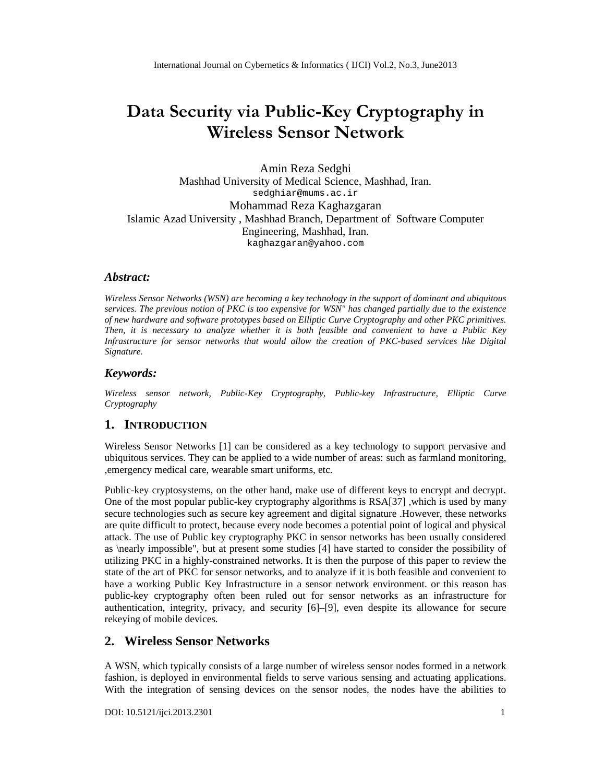# Data Security  $w$  ay PQ by potography in Wireless Sensor Network

Amin Reza Sedghi Mashhad University of Medical Science, Mashhad, Iran. [sedghiar@mums.ac.ir](mailto:sedghiar@mums.ac) Mohammad Reza Kaghazgaran Islamic Azad University Mashhad Branch Department of Software Computer Engineering, Mashhad, Iran. [kaghazgaran@yahoo.com](mailto:kaghazgaran@yahoo.com)

# Abstract:

Wireless Sensor Network (WSN) are becoming a key trology in the support of ominantand ubiquitous services. The previousotion ofPKC is too expensive for WSN" has changed partially dule et existence of new hardware and software prototypes based on Elliculiave Cryptography and other PKC primitives. Then, it is necessaryo analyze whether it is both feasible and convenient to have a PKIBIyc Infrastructure for sensor networks that would allow the creatiorPISC-based services like Digital Signature.

## Keywords:

Wireless sensor network, Publicy Cryptography, Publicey Infrastructure Elliptic Curve **Cryptography** 

#### 1. INTRODUCTION

Wireless Sensor Networks [1] can be considered as a key technology to support pervasive and ubiquitous services. They can be applied to a wide number of **ateless** farmland monitoring, , emergency medical care, wearable smart uniforets,

Public-key cryptosystems, on the other hand, make use of different keys to encrypt and decrypt. Oneof the most popular publikey cryptography algorithms is  $R\$ W], which isused by many securetechnologies such as secure key agreement and digital signitudever, these networks are quite difficult to protect, because every not becomes a potential point of logical and physical attack. The use of Public key cryptography PKC in sensor netwarks been usually considered as \nearly impossible", but at present some studies [4] have starten to the possibility of utilizing PKC in a highlyconstrained networks. It is then the purpose of this paper to review the state of the art of PKC fore asometworks, and to analyze if it is both feasible and convenient to have a working Public Key Infrastructure in a sensor network environmenthis reason has public-key cryptography often been ruled out for sensor netwarks an infrastructure for authentication, integrity, privacy, anslecurity [6日9], even despite its allowance for secure rekeyingof mobile devices.

## 2. Wireless Sensor Networks

A WSN, which typically consists of a large number of wireless sensor nodes formed in a network fashion, isdeployed in environmental fields to serve variousing and actuating applicas. With the integration of sensing devices on the sensor nodes, the nodes have the abilities to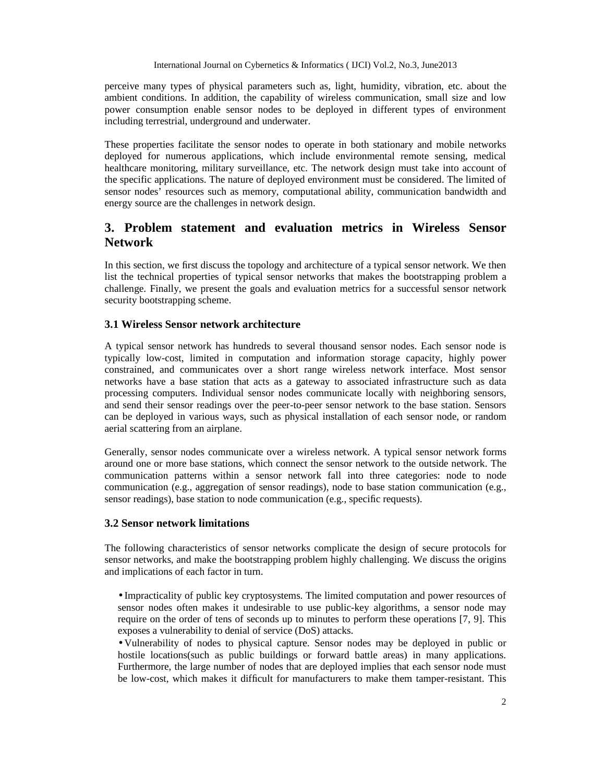perceive many types of physical parameters such as, light, humidity, vibration, etc. about the ambient conditions. In addition, the capability of wireless communication, small size and low power consumption enable sensor nodes to be deployed in different types of environment including terrestrial, underground and underwater.

These properties facilitate the sensor nodes to operate in both stationary and mobile networks deployed for numerous applications, which include environmental remote sensing, medical healthcare monitoring, military surveillance, etc. The network design must take into account of the specific applications. The nature of deployed environment must be considered. The limited of sensor nodes' resources such as memory, computational ability, communication bandwidth and energy source are the challenges in network design.

# **3. Problem statement and evaluation metrics in Wireless Sensor Network**

In this section, we first discuss the topology and architecture of a typical sensor network. We then list the technical properties of typical sensor networks that makes the bootstrapping problem a challenge. Finally, we present the goals and evaluation metrics for a successful sensor network security bootstrapping scheme.

#### **3.1 Wireless Sensor network architecture**

A typical sensor network has hundreds to several thousand sensor nodes. Each sensor node is typically low-cost, limited in computation and information storage capacity, highly power constrained, and communicates over a short range wireless network interface. Most sensor networks have a base station that acts as a gateway to associated infrastructure such as data processing computers. Individual sensor nodes communicate locally with neighboring sensors, and send their sensor readings over the peer-to-peer sensor network to the base station. Sensors can be deployed in various ways, such as physical installation of each sensor node, or random aerial scattering from an airplane.

Generally, sensor nodes communicate over a wireless network. A typical sensor network forms around one or more base stations, which connect the sensor network to the outside network. The communication patterns within a sensor network fall into three categories: node to node communication (e.g., aggregation of sensor readings), node to base station communication (e.g., sensor readings), base station to node communication (e.g., specific requests).

## **3.2 Sensor network limitations**

The following characteristics of sensor networks complicate the design of secure protocols for sensor networks, and make the bootstrapping problem highly challenging. We discuss the origins and implications of each factor in turn.

• Impracticality of public key cryptosystems. The limited computation and power resources of sensor nodes often makes it undesirable to use public-key algorithms, a sensor node may require on the order of tens of seconds up to minutes to perform these operations [7, 9]. This exposes a vulnerability to denial of service (DoS) attacks.

• Vulnerability of nodes to physical capture. Sensor nodes may be deployed in public or hostile locations(such as public buildings or forward battle areas) in many applications. Furthermore, the large number of nodes that are deployed implies that each sensor node must be low-cost, which makes it difficult for manufacturers to make them tamper-resistant. This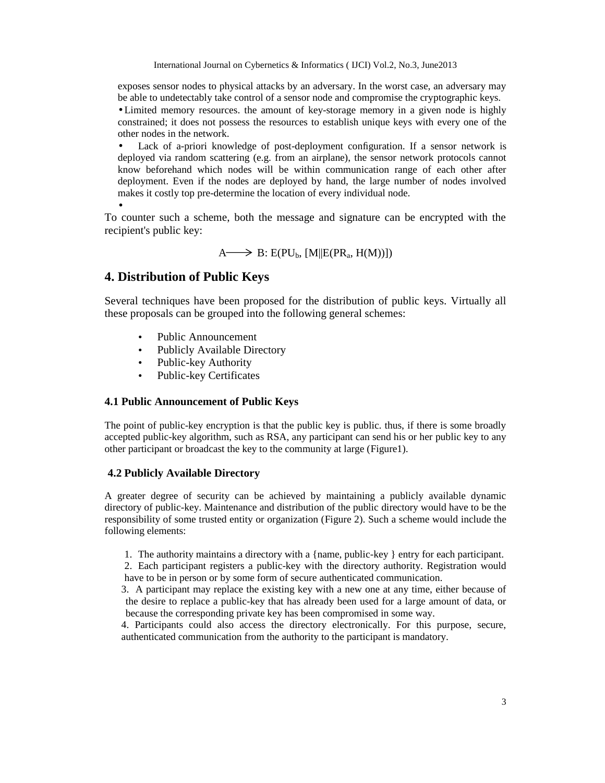exposes sensor nodes to physical attacks by an adversary. In the worst case, an adversary may be able to undetectably take control of a sensor node and compromise the cryptographic keys.

• Limited memory resources, the amount of key-storage memory in a given node is highly constrained; it does not possess the resources to establish unique keys with every one of the other nodes in the network.

Lack of a-priori knowledge of post-deployment configuration. If a sensor network is deployed via random scattering (e.g. from an airplane), the sensor network protocols cannot know beforehand which nodes will be within communication range of each other after deployment. Even if the nodes are deployed by hand, the large number of nodes involved makes it costly top pre-determine the location of every individual node.

• To counter such a scheme, both the message and signature can be encrypted with the recipient's public key:

 $A \longrightarrow B: E(PU_{b}, [M||E(PR_{a}, H(M))])$ 

# **4. Distribution of Public Keys**

Several techniques have been proposed for the distribution of public keys. Virtually all these proposals can be grouped into the following general schemes:

- Public Announcement
- Publicly Available Directory
- Public-key Authority
- Public-key Certificates

#### **4.1 Public Announcement of Public Keys**

The point of public-key encryption is that the public key is public. thus, if there is some broadly accepted public-key algorithm, such as RSA, any participant can send his or her public key to any other participant or broadcast the key to the community at large (Figure1).

## **4.2 Publicly Available Directory**

A greater degree of security can be achieved by maintaining a publicly available dynamic directory of public-key. Maintenance and distribution of the public directory would have to be the responsibility of some trusted entity or organization (Figure 2). Such a scheme would include the following elements:

1. The authority maintains a directory with a {name, public-key } entry for each participant.

2. Each participant registers a public-key with the directory authority. Registration would have to be in person or by some form of secure authenticated communication.

3. A participant may replace the existing key with a new one at any time, either because of the desire to replace a public-key that has already been used for a large amount of data, or because the corresponding private key has been compromised in some way.

4. Participants could also access the directory electronically. For this purpose, secure, authenticated communication from the authority to the participant is mandatory.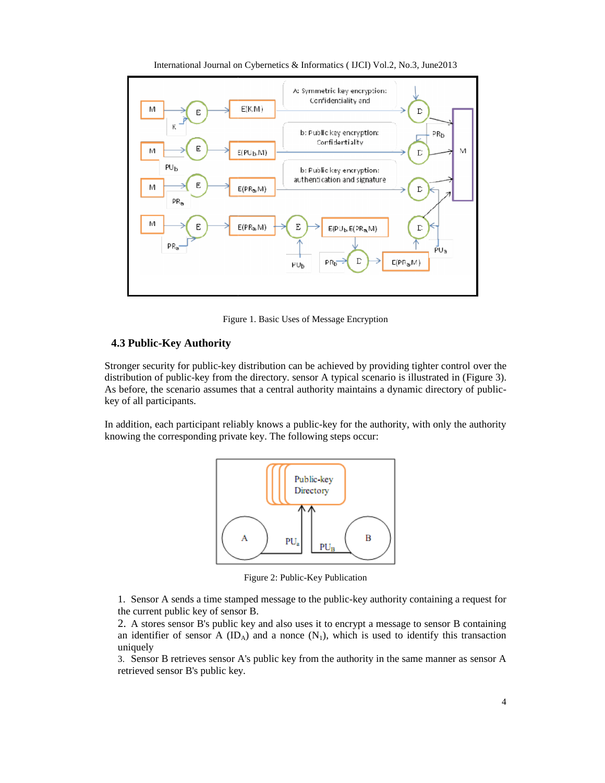

International Journal on Cybernetics & Informatics ( IJCI) Vol.2, No.3, June2013

Figure 1. Basic Uses of Message Encryption

## **4.3 Public-Key Authority**

Stronger security for public-key distribution can be achieved by providing tighter control over the distribution of public-key from the directory. sensor A typical scenario is illustrated in (Figure 3). As before, the scenario assumes that a central authority maintains a dynamic directory of publickey of all participants. for public-key distribution can be achieved by providing tighter control of public-key from the directory. sensor A typical scenario is illustrated in (Fig. , the scenario assumes that a central authority maintains a dynam

In addition, each participant reliably knows a public-key for the authority, with only the authority knowing the corresponding private key. The following steps occur: The following steps occur:



Figure 2: Public-Key Publication Figure

1. Sensor A sends a time stamped message to the public-key authority containing a request for the current public key of sensor B. 1. Sensor A sends a time stamped message to the public-key authority containing a request for the current public key of sensor B.<br>2. A stores sensor B's public key and also uses it to encrypt a message to sensor B containi

an identifier of sensor A  $(ID_A)$  and a nonce  $(N_1)$ , which is used to identify this transaction uniquely

3. Sensor B retrieves sensor A's public key from the authority in the same manner as sensor A retrieved sensor B's public key.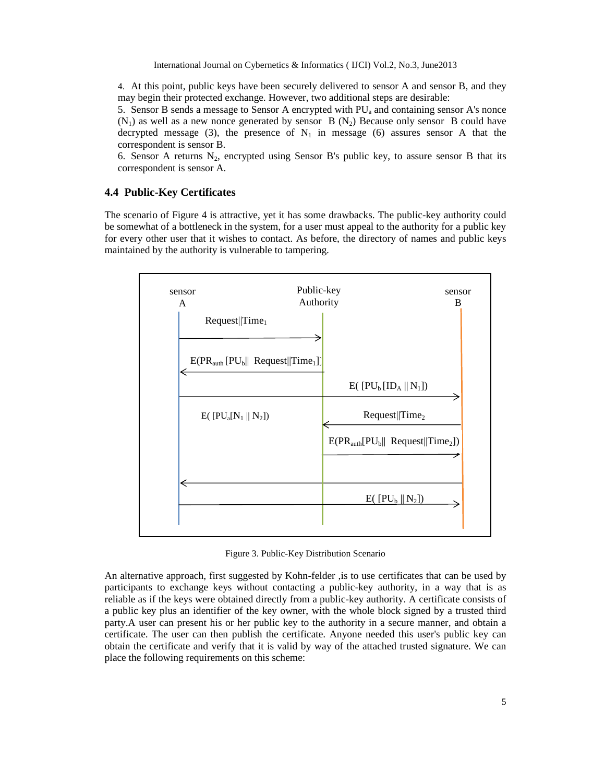4. At this point, public keys have been securely delivered to sensor A and sensor B, and they may begin their protected exchange. However, two additional steps are desirable:

5. Sensor B sends a message to Sensor A encrypted with  $PU_a$  and containing sensor A's nonce  $(N_1)$  as well as a new nonce generated by sensor B  $(N_2)$  Because only sensor B could have decrypted message (3), the presence of  $N_1$  in message (6) assures sensor A that the correspondent is sensor B.

6. Sensor A returns  $N_2$ , encrypted using Sensor B's public key, to assure sensor B that its correspondent is sensor A.

#### **4.4 Public-Key Certificates**

The scenario of Figure 4 is attractive, yet it has some drawbacks. The public-key authority could be somewhat of a bottleneck in the system, for a user must appeal to the authority for a public key for every other user that it wishes to contact. As before, the directory of names and public keys maintained by the authority is vulnerable to tampering.



Figure 3. Public-Key Distribution Scenario

An alternative approach, first suggested by Kohn-felder ,is to use certificates that can be used by participants to exchange keys without contacting a public-key authority, in a way that is as reliable as if the keys were obtained directly from a public-key authority. A certificate consists of a public key plus an identifier of the key owner, with the whole block signed by a trusted third party.A user can present his or her public key to the authority in a secure manner, and obtain a certificate. The user can then publish the certificate. Anyone needed this user's public key can obtain the certificate and verify that it is valid by way of the attached trusted signature. We can place the following requirements on this scheme: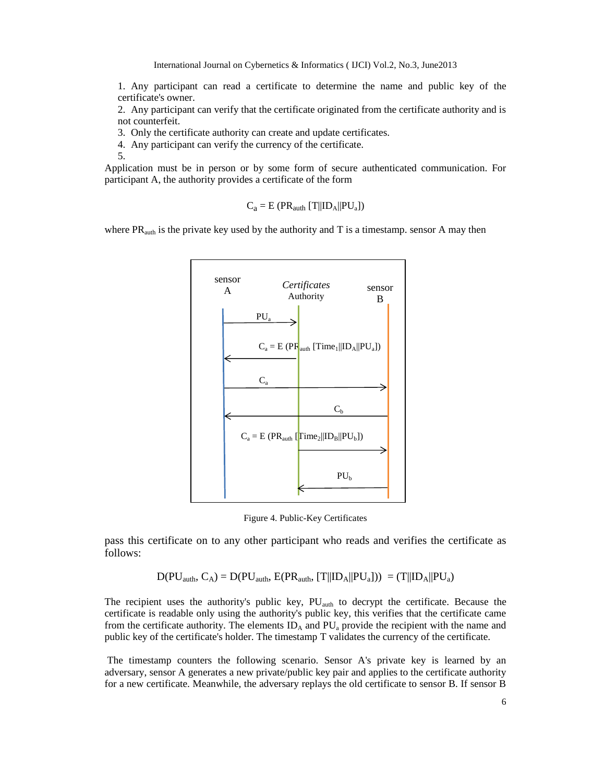1. Any participant can read a certificate to determine the name and public key of the certificate's owner.

2. Any participant can verify that the certificate originated from the certificate authority and is not counterfeit.

- 3. Only the certificate authority can create and update certificates.
- 4. Any participant can verify the currency of the certificate.
- 5.

Application must be in person or by some form of secure authenticated communication. For participant A, the authority provides a certificate of the form

$$
C_a = E\; (PR_{auth}\; [T||ID_A||PU_a])
$$

where  $PR_{\text{auth}}$  is the private key used by the authority and T is a timestamp. sensor A may then



Figure 4. Public-Key Certificates

pass this certificate on to any other participant who reads and verifies the certificate as follows:

 $D(PU_{\text{auth}}, C_A) = D(PU_{\text{auth}}, E(PR_{\text{auth}}, [T||ID_A||PU_a])) = (T||ID_A||PU_a)$ 

The recipient uses the authority's public key, PU<sub>auth</sub> to decrypt the certificate. Because the certificate is readable only using the authority's public key, this verifies that the certificate came from the certificate authority. The elements  $ID_A$  and  $PU_a$  provide the recipient with the name and public key of the certificate's holder. The timestamp T validates the currency of the certificate.

The timestamp counters the following scenario. Sensor A's private key is learned by an adversary, sensor A generates a new private/public key pair and applies to the certificate authority for a new certificate. Meanwhile, the adversary replays the old certificate to sensor B. If sensor B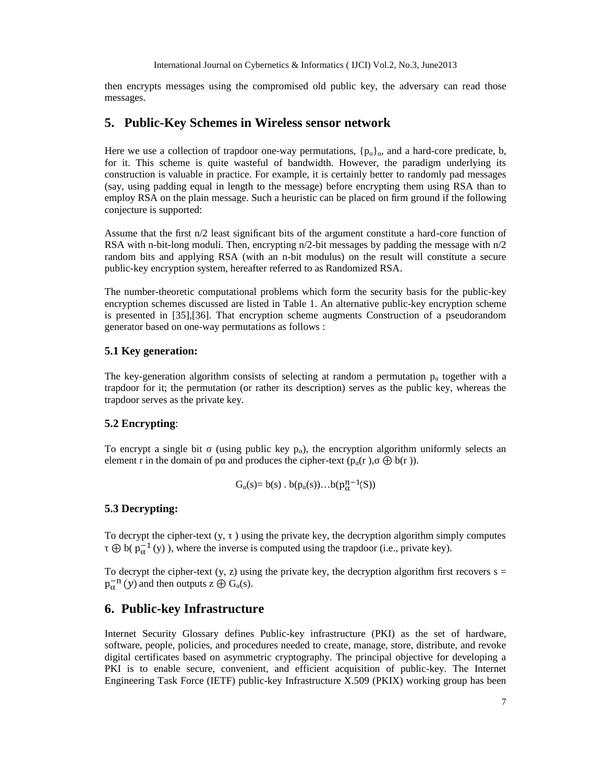then encrypts messages using the compromised old public key, the adversary can read those messages.

## **5. Public-Key Schemes in Wireless sensor network**

Here we use a collection of trapdoor one-way permutations,  $\{p\}$ , and a hard-core predicate, b, for it. This scheme is quite wasteful of bandwidth. However, the paradigm underlying its construction is valuable in practice. For example, it is certainly better to randomly pad messages (say, using padding equal in length to the message) before encrypting them using RSA than to employ RSA on the plain message. Such a heuristic can be placed on firm ground if the following conjecture is supported:

Assume that the first n/2 least significant bits of the argument constitute a hard-core function of RSA with n-bit-long moduli. Then, encrypting  $n/2$ -bit messages by padding the message with  $n/2$ random bits and applying RSA (with an n-bit modulus) on the result will constitute a secure public-key encryption system, hereafter referred to as Randomized RSA.

The number-theoretic computational problems which form the security basis for the public-key encryption schemes discussed are listed in Table 1. An alternative public-key encryption scheme is presented in [35],[36]. That encryption scheme augments Construction of a pseudorandom generator based on one-way permutations as follows :

#### **5.1 Key generation:**

The key-generation algorithm consists of selecting at random a permutation p together with a trapdoor for it; the permutation (or rather its description) serves as the public key, whereas the trapdoor serves as the private key.

## **5.2 Encrypting**:

To encrypt a single bit (using public key p), the encryption algorithm uniformly selects an element r in the domain of p and produces the cipher-text (p (r ),  $\oplus$  b(r )).

G (s)= b(s) . b(p (s))…b(p (S))

#### **5.3 Decrypting:**

To decrypt the cipher-text  $(y, \cdot)$  using the private key, the decryption algorithm simply computes  $\bigoplus$  b(  $p_{\alpha}^{-1}(y)$  ), where the inverse is computed using the trapdoor (i.e., private key).

To decrypt the cipher-text  $(y, z)$  using the private key, the decryption algorithm first recovers  $s =$  $p_{\alpha}^{-n}(y)$  and then outputs  $z \oplus G$  (s).

# **6. Public-key Infrastructure**

Internet Security Glossary defines Public-key infrastructure (PKI) as the set of hardware, software, people, policies, and procedures needed to create, manage, store, distribute, and revoke digital certificates based on asymmetric cryptography. The principal objective for developing a PKI is to enable secure, convenient, and efficient acquisition of public-key. The Internet Engineering Task Force (IETF) public-key Infrastructure X.509 (PKIX) working group has been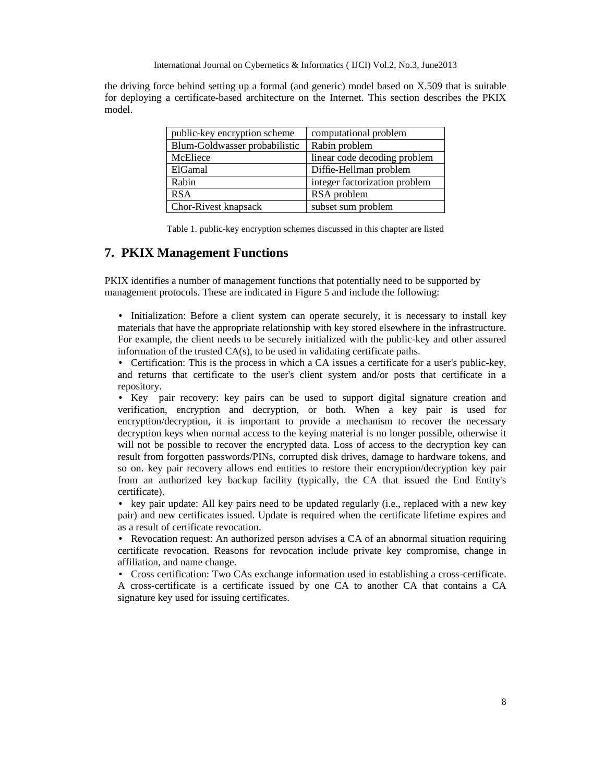the driving force behind setting up a formal (and generic) model based on X.509 that is suitable for deploying a certificate-based architecture on the Internet. This section describes the PKIX model.

| public-key encryption scheme  | computational problem         |
|-------------------------------|-------------------------------|
| Blum-Goldwasser probabilistic | Rabin problem                 |
| McEliece                      | linear code decoding problem  |
| ElGamal                       | Diffie-Hellman problem        |
| Rabin                         | integer factorization problem |
| <b>RSA</b>                    | RSA problem                   |
| Chor-Rivest knapsack          | subset sum problem            |

Table 1. public-key encryption schemes discussed in this chapter are listed

## **7. PKIX Management Functions**

PKIX identifies a number of management functions that potentially need to be supported by management protocols. These are indicated in Figure 5 and include the following:

• Initialization: Before a client system can operate securely, it is necessary to install key materials that have the appropriate relationship with key stored elsewhere in the infrastructure. For example, the client needs to be securely initialized with the public-key and other assured information of the trusted CA(s), to be used in validating certificate paths.

• Certification: This is the process in which a CA issues a certificate for a user's public-key, and returns that certificate to the user's client system and/or posts that certificate in a repository.

• Key pair recovery: key pairs can be used to support digital signature creation and verification, encryption and decryption, or both. When a key pair is used for encryption/decryption, it is important to provide a mechanism to recover the necessary decryption keys when normal access to the keying material is no longer possible, otherwise it will not be possible to recover the encrypted data. Loss of access to the decryption key can result from forgotten passwords/PINs, corrupted disk drives, damage to hardware tokens, and so on. key pair recovery allows end entities to restore their encryption/decryption key pair from an authorized key backup facility (typically, the CA that issued the End Entity's certificate).

• key pair update: All key pairs need to be updated regularly (i.e., replaced with a new key pair) and new certificates issued. Update is required when the certificate lifetime expires and as a result of certificate revocation.

• Revocation request: An authorized person advises a CA of an abnormal situation requiring certificate revocation. Reasons for revocation include private key compromise, change in affiliation, and name change.

• Cross certification: Two CAs exchange information used in establishing a cross-certificate. A cross-certificate is a certificate issued by one CA to another CA that contains a CA signature key used for issuing certificates.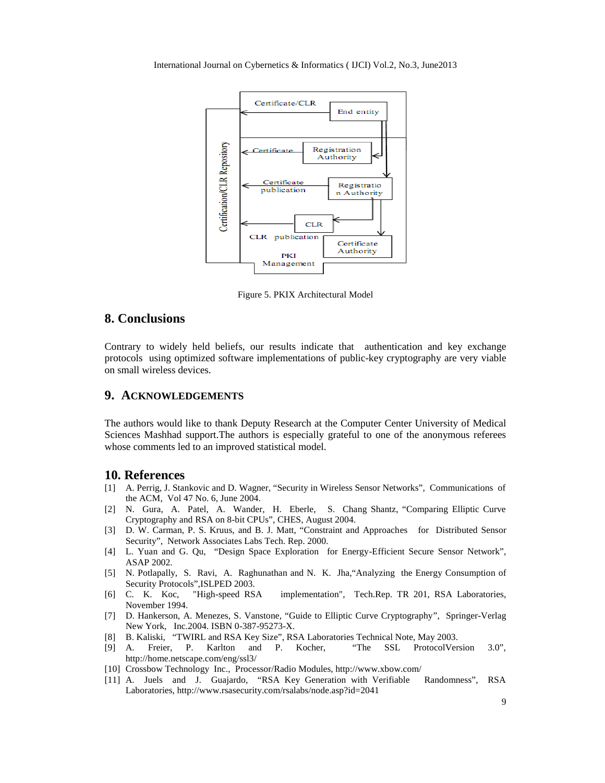Figure5. PKIX Architectural Model

# 8. Conclusions

Contrary to widely held beliefs, our results indicated authentication and key exchange protocols usingoptimized software impementationsof public-key cryptography are very viabl on small wireless devices.

# 9. ACKNOWLEDGEMENTS

The authors would like to thank Deputy Research a Comeputer Center University of Medical Sciences Mashhadsupport.The authors is especially grateful to one of the anonymous referees whose comments led to an improved statistical model.

## 10.References

- [1] A. Perrig, J. Stankovic and D. Wagner, ‡Security in Wireless Sensor Networksˆ, Communications of the ACM, Vol 47 No. 6, June 2004.
- [2] N. Gura, A. Patel, A. Wander, H. Eberle, S. Chang Shantz, ‡Comparing Elliptic Curve Cryptography and RSA on & CPUs<sup>o</sup>, CHES, August 2004.
- [3] D. W. Carman, P. S. Kruus, and B. J. Matt,  $\pm$ Constraint and Approsacior Distributed Sensor Securityˆ, Network Associates Labs Tech. Rep. 2000.
- [4] L. Yuan and G. Qu, ‡Design Space Exploration for Enerfigitient Secure Sensor Network<sup>^</sup>, ASAP 2002.
- [5] N. Potlapally, S. Ravi, A. Raghunathan and N. K. Jha hat ally the Energy Consumption of Security Protocolsˆ,ISLPED 2003.
- [6] C. K. Koc, "Highspeed RSA implementation", Tech.Rep. TR 201, RSA Laboratories, November 1994.
- [7] D. Hankerson, A. Menezes, S. Vanstone,  $\ddagger$ Guide to Elliptic Curve Cryptograß pyringer-Verlag New York, Inc.2004. ISBN-387-95273X.
- [8] B. Kaliski, ‡TWIRL and RSA Key Sizeˆ, RSA Laboratories Technical Note, May 2003.
- [9] A. Freier, P. Karlton and P. Kocher, ‡The SSL ProtocolVersion 3.0ˆ, http://home.netscape.com/eng/\$sl3
- [10] Crossbow Technology Inc., Processor/Radio Mod[ules, http://www.xbow](http://www.xbow.com/).com/
- [11] A. Juels and J. Guajardo, ‡RSA Key Generation with Verifiable Randomnessˆ, RSA Laboratories, http://www.rsasecurity.com/rsalabs/node.asp?id=2041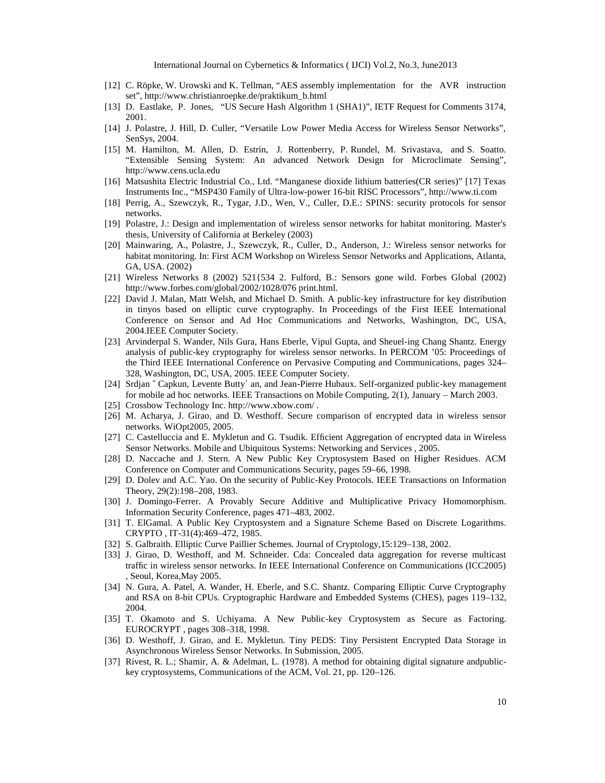- [12] C. Röpke,W. Urowski and K. Tellman, ‡AES assembly implementation for the AVR instruction setˆ, [http://www.christianroepke.de/praktikum\\_b.h](http://www.christianroepke.de/praktikum_b.html)tml
- [13] D. Eastlake, P. Jones, ‡US Secure Hash Algorithm 1 (SHA1)ˆ, IETF Request for Comments 3174, 2001.
- [14] J. Polastre, J. Hill, D. Culler, ‡Versatile Low Power Media Access for Wireless Sensor Networksˆ, SenSys, 2004.
- [15] M. Hamilton, M. Allen, D. Estrin, J. Rottenberry, P. Rundel, M. Srivastava, and S. Soatto. ‡Extensible Sensing System: An advanced Network Design for Microclimate Sensingˆ, [http://www.cens.ucla.ed](http://www.cens.ucla.edu)u
- [16] Matsushita Electric Industrial Co., Ltd. ‡Manganese dioxide lithium batteries(CR series)ˆ [17] Texas Instruments Inc., ‡MSP430 Family of Ultraw-power 16bit RISC Processes<sup>o</sup>,<http://www.ti.com>
- [18] Perrig, A., Szewczyk, R., Tygar, J.D., Wen, V., Culler, D.E.: SPINS: security protocols for sensor networks.
- [19] Polastre, J.: Design and implementation of wireless sensor networks for habitat monitoring. Master's thesis, University of California at Berkeley (2003)
- [20] Mainwaring, A., Polastre, J., Szewczyk, R., Culler, D., Anderson, J.: Wireless sensor networks for habitat monitoring. In: First ACM Workshop on Wireless Sensor Networks and Applications, Atlanta, GA, USA. (2002)
- [21] Wireless Networks 8 (2002) 521{534 2. Fulford, B.: Sensors gone wild. Forbes Global (2002) [http://www.forbes.com/global/2002/1028/0](http://www.forbes.com/global/2002/1028/076)76 print.html.
- [22] David J. Malan, Matt Welsh, and Michael D. Smith. A publis infrastructure for keylistribution in tinyos based on elliptic curve cryptography. In Proceedings of the First IEEE International Conference on Sensor and Ad Hoc Communications and Networks, Washington, DC, USA, 2004.IEEE Computer Society.
- [23] Arvinderpal S. Wander, Nils Guralans Eberle, Vipul Gupta, and Sheurel Chang Shantz. Energy analysis of publickey cryptography for wireless sensor networks. In PERCOM •05: Proceedings of the Third IEEE International Conference on Pervasive Computing and Communications, pages 324 328,Washington, DC, USA, 2005. IEEE Computer Society.
- [24] Srdjan ‰ Capkun, Levente ButtyŠ an, and Rieare Hubaux. Selbrganized publickey management for mobile ad hoc networks. IEEE Transactions on Mobile Computing, 2(1), JanDurangch 2003.
- [25] Crossbow Technology In[c. http://www.xbow.co](http://www.xbow.com/)m/.
- [26] M. Acharya, J. Girao, and D. Westhoff. Secure comparison of encrypted data in wireless sensor networks. WiOpt2005, 2005.
- [27] C. Castelluccia and E. Mykletun and G. Tsudik.c Ent Aggregation of encrypted ata in Wireless Sensor Networks. Mobile and Ubiquitous Systems: Networking and Services , 2005.
- [28] D. Naccache and J. Stern. A New Public Key Cryptosystem Based on Higher Residues. ACM Conference on Computer and Communications Security, pa@6,59998.
- [29] D. Dolev and A.C. Yao. On the security of Public Protocols. IEEE Transactions on Information Theory, 29(2):198208, 1983.
- [30] J. DomingoFerrer. A Provably Secure Additive and Multiplicative Privacy Homomorphism. Information Security Conference, pages 47€483, 2002.
- [31] T. ElGamal. A Public Key Cryptosystem and a Signature Scheme Based on Discrete Logarithms. CRYPTO , IT-31(4):469€472, 1985.
- [32] S. Galbraith. Elliptic Curve Paillier Schemes. Journal of Cryptology,15:1389, 2002.
- [33] J. Grao, D. Westhoff, and M. Schneider. Cda: Concealed data aggregation for reverse multicast traf,c in wireless sensor networks. In IEEE International Conference on Communications (ICC2005) , Seoul, Korea,May 2005.
- [34] N. Gura, A. Patel, A. Wander, H. Eberland S.C. Shantz. Comparing Elliptic Curve Cryptography and RSA on 8bit CPUs. Cryptographic Hardware and Embedded Systems (CHES), page \$32,19 2004.
- [35] T. Okamoto and S. Uchiyama. A New Publicy Cryptosystem as Secure as Factoring. EUROCRYPT, page 308€318, 1998.
- [36] D. Westhoff, J. Girao, and E. Mykletun. Tiny PEDS: Tiny Persistent Encrypted Data Storage in Asynchronous Wireless Sensor Networks. In Submission, 2005.
- [37] Rivest, R. L.; Shamir, A. & Adelman, L. (1978). A method for obtaining **digitgnature andpublic** key cryptosystems, Communications of the ACM, Vol. 21,  $pp \le 120$ .